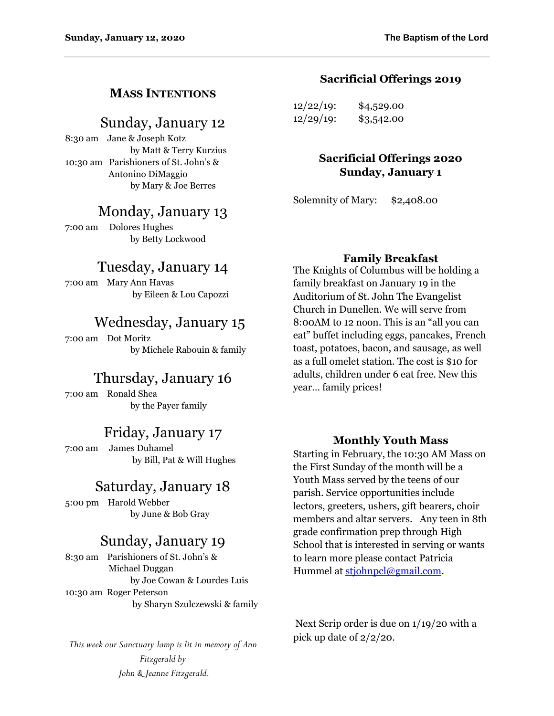### **MASS INTENTIONS**

### Sunday, January 12

8:30 am Jane & Joseph Kotz by Matt & Terry Kurzius 10:30 am Parishioners of St. John's & Antonino DiMaggio by Mary & Joe Berres

### Monday, January 13

7:00 am Dolores Hughes by Betty Lockwood

### Tuesday, January 14

7:00 am Mary Ann Havas by Eileen & Lou Capozzi

# Wednesday, January 15

7:00 am Dot Moritz by Michele Rabouin & family

### Thursday, January 16

7:00 am Ronald Shea by the Payer family

### Friday, January 17

7:00 am James Duhamel by Bill, Pat & Will Hughes

# Saturday, January 18

5:00 pm Harold Webber by June & Bob Gray

### Sunday, January 19

8:30 am Parishioners of St. John's & Michael Duggan by Joe Cowan & Lourdes Luis 10:30 am Roger Peterson by Sharyn Szulczewski & family

*This week our Sanctuary lamp is lit in memory of Ann Fitzgerald by John & Jeanne Fitzgerald.*

#### **Sacrificial Offerings 2019**

| $12/22/19$ : | \$4,529.00 |
|--------------|------------|
| $12/29/19$ : | \$3,542.00 |

#### **Sacrificial Offerings 2020 Sunday, January 1**

Solemnity of Mary: \$2,408.00

#### **Family Breakfast**

The Knights of Columbus will be holding a family breakfast on January 19 in the Auditorium of St. John The Evangelist Church in Dunellen. We will serve from 8:00AM to 12 noon. This is an "all you can eat" buffet including eggs, pancakes, French toast, potatoes, bacon, and sausage, as well as a full omelet station. The cost is \$10 for adults, children under 6 eat free. New this year… family prices!

#### **Monthly Youth Mass**

Starting in February, the 10:30 AM Mass on the First Sunday of the month will be a Youth Mass served by the teens of our parish. Service opportunities include lectors, greeters, ushers, gift bearers, choir members and altar servers. Any teen in 8th grade confirmation prep through High School that is interested in serving or wants to learn more please contact Patricia Hummel at [stjohnpcl@gmail.com.](mailto:stjohnpcl@gmail.com)

Next Scrip order is due on 1/19/20 with a pick up date of 2/2/20.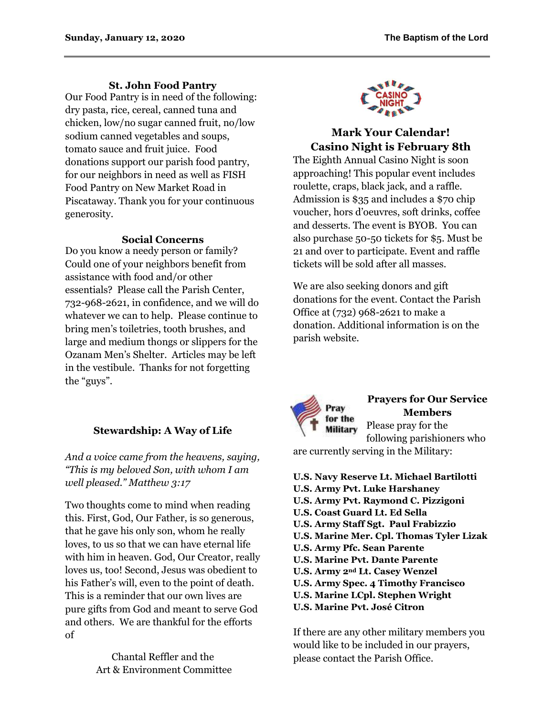#### **St. John Food Pantry**

Our Food Pantry is in need of the following: dry pasta, rice, cereal, canned tuna and chicken, low/no sugar canned fruit, no/low sodium canned vegetables and soups, tomato sauce and fruit juice. Food donations support our parish food pantry, for our neighbors in need as well as FISH Food Pantry on New Market Road in Piscataway. Thank you for your continuous generosity.

#### **Social Concerns**

Do you know a needy person or family? Could one of your neighbors benefit from assistance with food and/or other essentials? Please call the Parish Center, 732-968-2621, in confidence, and we will do whatever we can to help. Please continue to bring men's toiletries, tooth brushes, and large and medium thongs or slippers for the Ozanam Men's Shelter. Articles may be left in the vestibule. Thanks for not forgetting the "guys".

### **Stewardship: A Way of Life**

*And a voice came from the heavens, saying, "This is my beloved Son, with whom I am well pleased." Matthew 3:17*

Two thoughts come to mind when reading this. First, God, Our Father, is so generous, that he gave his only son, whom he really loves, to us so that we can have eternal life with him in heaven. God, Our Creator, really loves us, too! Second, Jesus was obedient to his Father's will, even to the point of death. This is a reminder that our own lives are pure gifts from God and meant to serve God and others. We are thankful for the efforts of

> Chantal Reffler and the Art & Environment Committee



### **Mark Your Calendar! Casino Night is February 8th**

The Eighth Annual Casino Night is soon approaching! This popular event includes roulette, craps, black jack, and a raffle. Admission is \$35 and includes a \$70 chip voucher, hors d'oeuvres, soft drinks, coffee and desserts. The event is BYOB. You can also purchase 50-50 tickets for \$5. Must be 21 and over to participate. Event and raffle tickets will be sold after all masses.

We are also seeking donors and gift donations for the event. Contact the Parish Office at (732) 968-2621 to make a donation. Additional information is on the parish website.



### **Prayers for Our Service Members**

Please pray for the **Military** following parishioners who

are currently serving in the Military:

**U.S. Navy Reserve Lt. Michael Bartilotti U.S. Army Pvt. Luke Harshaney U.S. Army Pvt. Raymond C. Pizzigoni U.S. Coast Guard Lt. Ed Sella U.S. Army Staff Sgt. Paul Frabizzio U.S. Marine Mer. Cpl. Thomas Tyler Lizak U.S. Army Pfc. Sean Parente U.S. Marine Pvt. Dante Parente U.S. Army 2nd Lt. Casey Wenzel U.S. Army Spec. 4 Timothy Francisco U.S. Marine LCpl. Stephen Wright U.S. Marine Pvt. José Citron**

If there are any other military members you would like to be included in our prayers, please contact the Parish Office.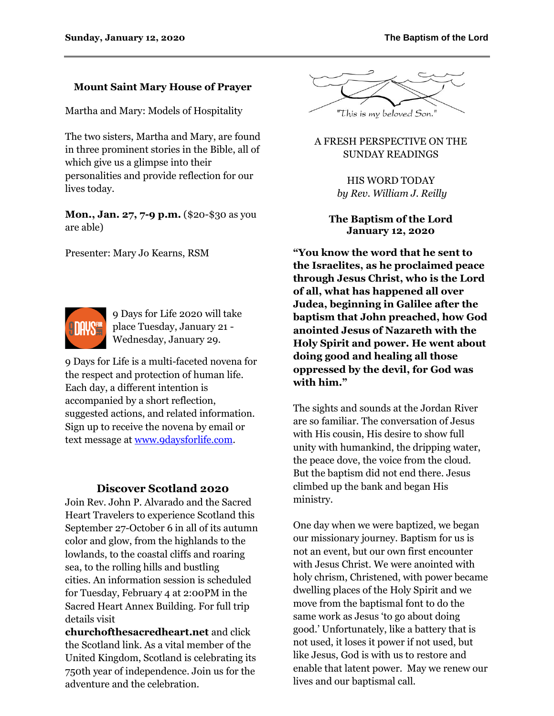#### **Mount Saint Mary House of Prayer**

Martha and Mary: Models of Hospitality

The two sisters, Martha and Mary, are found in three prominent stories in the Bible, all of which give us a glimpse into their personalities and provide reflection for our lives today.

**Mon., Jan. 27, 7-9 p.m.** (\$20-\$30 as you are able)

Presenter: Mary Jo Kearns, RSM



9 Days for Life 2020 will take place Tuesday, January 21 - Wednesday, January 29.

9 Days for Life is a multi-faceted novena for the respect and protection of human life. Each day, a different intention is accompanied by a short reflection, suggested actions, and related information. Sign up to receive the novena by email or text message a[t www.9daysforlife.com.](http://www.9daysforlife.com/)

#### **Discover Scotland 2020**

Join Rev. John P. Alvarado and the Sacred Heart Travelers to experience Scotland this September 27-October 6 in all of its autumn color and glow, from the highlands to the lowlands, to the coastal cliffs and roaring sea, to the rolling hills and bustling cities. An information session is scheduled for Tuesday, February 4 at 2:00PM in the Sacred Heart Annex Building. For full trip details visit

**churchofthesacredheart.net** and click the Scotland link. As a vital member of the United Kingdom, Scotland is celebrating its 750th year of independence. Join us for the adventure and the celebration.



#### A FRESH PERSPECTIVE ON THE SUNDAY READINGS

HIS WORD TODAY *by Rev. William J. Reilly*

#### **The Baptism of the Lord January 12, 2020**

**"You know the word that he sent to the Israelites, as he proclaimed peace through Jesus Christ, who is the Lord of all, what has happened all over Judea, beginning in Galilee after the baptism that John preached, how God anointed Jesus of Nazareth with the Holy Spirit and power. He went about doing good and healing all those oppressed by the devil, for God was with him."**

The sights and sounds at the Jordan River are so familiar. The conversation of Jesus with His cousin, His desire to show full unity with humankind, the dripping water, the peace dove, the voice from the cloud. But the baptism did not end there. Jesus climbed up the bank and began His ministry.

One day when we were baptized, we began our missionary journey. Baptism for us is not an event, but our own first encounter with Jesus Christ. We were anointed with holy chrism, Christened, with power became dwelling places of the Holy Spirit and we move from the baptismal font to do the same work as Jesus 'to go about doing good.' Unfortunately, like a battery that is not used, it loses it power if not used, but like Jesus, God is with us to restore and enable that latent power. May we renew our lives and our baptismal call.